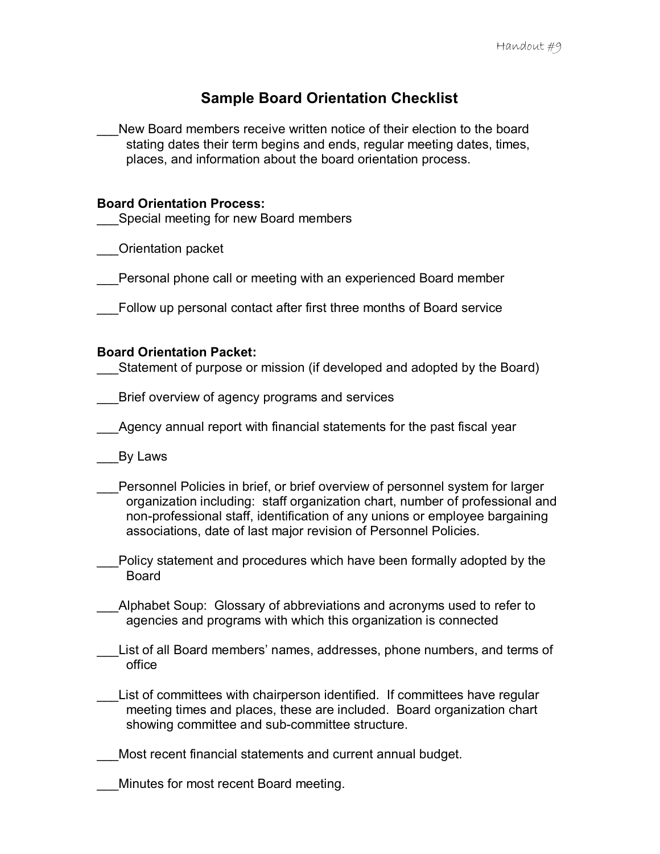# **Sample Board Orientation Checklist**

\_\_\_New Board members receive written notice of their election to the board stating dates their term begins and ends, regular meeting dates, times, places, and information about the board orientation process.

### **Board Orientation Process:**

Special meeting for new Board members

\_\_\_Orientation packet

\_\_\_Personal phone call or meeting with an experienced Board member

\_\_\_Follow up personal contact after first three months of Board service

## **Board Orientation Packet:**

Statement of purpose or mission (if developed and adopted by the Board)

- \_\_\_Brief overview of agency programs and services
- Agency annual report with financial statements for the past fiscal year
	- \_\_\_By Laws
- Personnel Policies in brief, or brief overview of personnel system for larger organization including: staff organization chart, number of professional and non-professional staff, identification of any unions or employee bargaining associations, date of last major revision of Personnel Policies.
- \_\_\_Policy statement and procedures which have been formally adopted by the Board
- Alphabet Soup: Glossary of abbreviations and acronyms used to refer to agencies and programs with which this organization is connected
- List of all Board members' names, addresses, phone numbers, and terms of office
- List of committees with chairperson identified. If committees have regular meeting times and places, these are included. Board organization chart showing committee and sub-committee structure.
- Most recent financial statements and current annual budget.
- \_\_\_Minutes for most recent Board meeting.